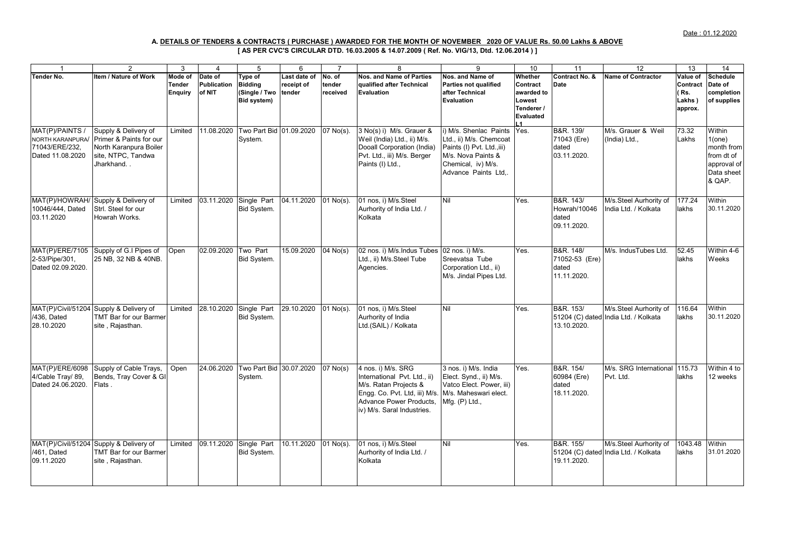## **[ AS PER CVC'S CIRCULAR DTD. 16.03.2005 & 14.07.2009 ( Ref. No. VIG/13, Dtd. 12.06.2014 ) ] A. DETAILS OF TENDERS & CONTRACTS ( PURCHASE ) AWARDED FOR THE MONTH OF NOVEMBER 2020 OF VALUE Rs. 50.00 Lakhs & ABOVE**

| $\mathbf 1$       | $\overline{2}$                          | 3              | 4                      | 5                                  | 6                    | $\overline{7}$         | 8                               | 9                          | 10         | 11             | 12                                   | 13       | 14              |
|-------------------|-----------------------------------------|----------------|------------------------|------------------------------------|----------------------|------------------------|---------------------------------|----------------------------|------------|----------------|--------------------------------------|----------|-----------------|
| Tender No.        | Item / Nature of Work                   | Mode of        | Date of                | Type of                            | Last date of         | No. of                 | <b>Nos. and Name of Parties</b> | Nos. and Name of           | Whether    | Contract No. & | <b>Name of Contractor</b>            | Value of | <b>Schedule</b> |
|                   |                                         |                |                        |                                    |                      |                        |                                 |                            |            |                |                                      |          |                 |
|                   |                                         | <b>Tender</b>  | Publication            | <b>Bidding</b>                     | receipt of           | tender                 | qualified after Technical       | Parties not qualified      | Contract   | Date           |                                      | Contract | Date of         |
|                   |                                         | <b>Enquiry</b> | of NIT                 | (Single / Two                      | tender               | received               | Evaluation                      | after Technical            | awarded to |                |                                      | ( Rs.    | completion      |
|                   |                                         |                |                        | Bid system)                        |                      |                        |                                 | Evaluation                 | Lowest     |                |                                      | Lakhs)   | of supplies     |
|                   |                                         |                |                        |                                    |                      |                        |                                 |                            | Tenderer / |                |                                      | approx.  |                 |
|                   |                                         |                |                        |                                    |                      |                        |                                 |                            | Evaluated  |                |                                      |          |                 |
|                   |                                         |                |                        |                                    |                      |                        |                                 |                            |            |                |                                      |          |                 |
| MAT(P)/PAINTS /   | Supply & Delivery of                    | Limited        |                        | 11.08.2020 Two Part Bid 01.09.2020 |                      | 07 No(s).              | 3 No(s) i) M/s. Grauer &        | i) M/s. Shenlac Paints     | Yes.       | B&R. 139/      | M/s. Grauer & Weil                   | 73.32    | Within          |
| NORTH KARANPURA/  | <b>Primer &amp; Paints for our</b>      |                |                        | System.                            |                      |                        | Weil (India) Ltd., ii) M/s.     | Ltd., ii) M/s. Chemcoat    |            | 71043 (Ere)    | (India) Ltd.,                        | Lakhs    | 1(one)          |
| 71043/ERE/232,    | North Karanpura Boiler                  |                |                        |                                    |                      |                        | Dooall Corporation (India)      | Paints (I) Pvt. Ltd., iii) |            | dated          |                                      |          | month from      |
| Dated 11.08.2020  | site, NTPC, Tandwa                      |                |                        |                                    |                      |                        | Pvt. Ltd., iii) M/s. Berger     | M/s. Nova Paints &         |            | 03.11.2020.    |                                      |          | from dt of      |
|                   | Jharkhand                               |                |                        |                                    |                      |                        | Paints (I) Ltd.,                | Chemical, iv) M/s.         |            |                |                                      |          | approval of     |
|                   |                                         |                |                        |                                    |                      |                        |                                 | Advance Paints Ltd         |            |                |                                      |          | Data sheet      |
|                   |                                         |                |                        |                                    |                      |                        |                                 |                            |            |                |                                      |          | & QAP.          |
|                   |                                         |                |                        |                                    |                      |                        |                                 |                            |            |                |                                      |          |                 |
|                   |                                         |                |                        |                                    |                      |                        |                                 |                            |            |                |                                      |          |                 |
|                   | MAT(P)/HOWRAH/ Supply & Delivery of     | Limited        | 03.11.2020             | Single Part                        | 04.11.2020           | $\overline{01}$ No(s). | 01 nos, i) M/s.Steel            | Nil                        | Yes.       | B&R. 143/      | M/s.Steel Aurhority of               | 177.24   | Within          |
| 10046/444, Dated  | Strl. Steel for our                     |                |                        | Bid System.                        |                      |                        | Aurhority of India Ltd. /       |                            |            | Howrah/10046   | ndia Ltd. / Kolkata                  | lakhs    | 30.11.2020      |
| 03.11.2020        | Howrah Works.                           |                |                        |                                    |                      |                        | Kolkata                         |                            |            | dated          |                                      |          |                 |
|                   |                                         |                |                        |                                    |                      |                        |                                 |                            |            | 09.11.2020.    |                                      |          |                 |
|                   |                                         |                |                        |                                    |                      |                        |                                 |                            |            |                |                                      |          |                 |
|                   |                                         |                |                        |                                    |                      |                        |                                 |                            |            |                |                                      |          |                 |
|                   | MAT(P)/ERE/7105 Supply of G.I Pipes of  | Open           | 02.09.2020             | Two Part                           | 15.09.2020           | $04$ No(s)             | 02 nos. i) M/s. Indus Tubes     | 02 nos. i) M/s.            | Yes.       | B&R. 148/      | M/s. IndusTubes Ltd.                 | 52.45    | Within 4-6      |
| 2-53/Pipe/301.    | 25 NB, 32 NB & 40NB.                    |                |                        | Bid System.                        |                      |                        | Ltd., ii) M/s.Steel Tube        | Sreevatsa Tube             |            | 71052-53 (Ere) |                                      | lakhs    | Weeks           |
|                   |                                         |                |                        |                                    |                      |                        |                                 | Corporation Ltd., ii)      |            | dated          |                                      |          |                 |
| Dated 02.09.2020. |                                         |                |                        |                                    |                      |                        | Agencies.                       |                            |            |                |                                      |          |                 |
|                   |                                         |                |                        |                                    |                      |                        |                                 | M/s. Jindal Pipes Ltd.     |            | 11.11.2020.    |                                      |          |                 |
|                   |                                         |                |                        |                                    |                      |                        |                                 |                            |            |                |                                      |          |                 |
|                   |                                         |                |                        |                                    |                      |                        |                                 |                            |            |                |                                      |          |                 |
|                   |                                         |                |                        |                                    |                      |                        |                                 |                            |            |                |                                      |          |                 |
|                   | MAT(P)/Civil/51204 Supply & Delivery of | Limited        | 28.10.2020             | Single Part                        | 29.10.2020           | $01$ No(s).            | 01 nos, i) M/s.Steel            | Nil                        | Yes.       | B&R. 153/      | M/s.Steel Aurhority of               | 116.64   | Within          |
| /436, Dated       | <b>TMT Bar for our Barmer</b>           |                |                        | Bid System.                        |                      |                        | Aurhority of India              |                            |            |                | 51204 (C) dated India Ltd. / Kolkata | lakhs    | 30.11.2020      |
| 28.10.2020        | site, Rajasthan.                        |                |                        |                                    |                      |                        | Ltd.(SAIL) / Kolkata            |                            |            | 13.10.2020.    |                                      |          |                 |
|                   |                                         |                |                        |                                    |                      |                        |                                 |                            |            |                |                                      |          |                 |
|                   |                                         |                |                        |                                    |                      |                        |                                 |                            |            |                |                                      |          |                 |
|                   |                                         |                |                        |                                    |                      |                        |                                 |                            |            |                |                                      |          |                 |
|                   |                                         |                |                        |                                    |                      |                        |                                 |                            |            |                |                                      |          |                 |
| MAT(P)/ERE/6098   | Supply of Cable Trays,                  | Open           |                        | 24.06.2020 Two Part Bid 30.07.2020 |                      | $07$ No(s)             | 4 nos. i) M/s. SRG              | 3 nos. i) M/s. India       | Yes.       | B&R. 154/      | M/s. SRG International               | 115.73   | Within 4 to     |
| 4/Cable Tray/ 89, | Bends, Tray Cover & GI                  |                |                        | System.                            |                      |                        | International Pvt. Ltd., ii)    | Elect. Synd., ii) M/s.     |            | 60984 (Ere)    | Pvt. Ltd.                            | lakhs    | 12 weeks        |
| Dated 24.06.2020  | Flats.                                  |                |                        |                                    |                      |                        | M/s. Ratan Projects &           | Vatco Elect. Power, iii)   |            | dated          |                                      |          |                 |
|                   |                                         |                |                        |                                    |                      |                        |                                 |                            |            |                |                                      |          |                 |
|                   |                                         |                |                        |                                    |                      |                        | Engg. Co. Pvt. Ltd, iii) M/s.   | M/s. Maheswari elect.      |            | 18.11.2020.    |                                      |          |                 |
|                   |                                         |                |                        |                                    |                      |                        | Advance Power Products,         | Mfg. (P) Ltd.,             |            |                |                                      |          |                 |
|                   |                                         |                |                        |                                    |                      |                        | iv) M/s. Saral Industries.      |                            |            |                |                                      |          |                 |
|                   |                                         |                |                        |                                    |                      |                        |                                 |                            |            |                |                                      |          |                 |
|                   |                                         |                |                        |                                    |                      |                        |                                 |                            |            |                |                                      |          |                 |
|                   |                                         |                |                        |                                    |                      |                        |                                 |                            |            |                |                                      |          |                 |
|                   | MAT(P)/Civil/51204 Supply & Delivery of | Limited        | 09.11.2020 Single Part |                                    | 10.11.2020 01 No(s). |                        | 01 nos, i) M/s.Steel            | Nil                        | Yes.       | B&R. 155/      | M/s.Steel Aurhority of               | 1043.48  | Within          |
| /461. Dated       | <b>TMT Bar for our Barmer</b>           |                |                        | Bid System.                        |                      |                        | Aurhority of India Ltd. /       |                            |            |                | 51204 (C) dated India Ltd. / Kolkata | lakhs    | 31.01.2020      |
| 09.11.2020        | site, Rajasthan.                        |                |                        |                                    |                      |                        | Kolkata                         |                            |            | 19.11.2020.    |                                      |          |                 |
|                   |                                         |                |                        |                                    |                      |                        |                                 |                            |            |                |                                      |          |                 |
|                   |                                         |                |                        |                                    |                      |                        |                                 |                            |            |                |                                      |          |                 |
|                   |                                         |                |                        |                                    |                      |                        |                                 |                            |            |                |                                      |          |                 |